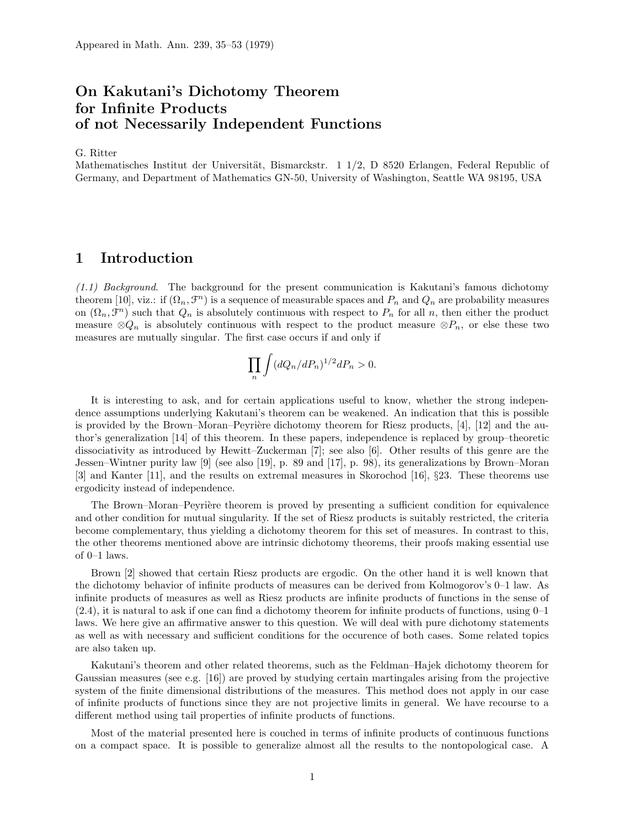# On Kakutani's Dichotomy Theorem for Infinite Products of not Necessarily Independent Functions

G. Ritter

Mathematisches Institut der Universität, Bismarckstr.  $1 \frac{1}{2}$ , D 8520 Erlangen, Federal Republic of Germany, and Department of Mathematics GN-50, University of Washington, Seattle WA 98195, USA

## 1 Introduction

 $(1.1)$  Background. The background for the present communication is Kakutani's famous dichotomy theorem [10], viz.: if  $(\Omega_n, \mathcal{F}^n)$  is a sequence of measurable spaces and  $P_n$  and  $Q_n$  are probability measures on  $(\Omega_n, \mathcal{F}^n)$  such that  $Q_n$  is absolutely continuous with respect to  $P_n$  for all n, then either the product measure  $\otimes Q_n$  is absolutely continuous with respect to the product measure  $\otimes P_n$ , or else these two measures are mutually singular. The first case occurs if and only if

$$
\prod_n \int (dQ_n/dP_n)^{1/2} dP_n > 0.
$$

It is interesting to ask, and for certain applications useful to know, whether the strong independence assumptions underlying Kakutani's theorem can be weakened. An indication that this is possible is provided by the Brown–Moran–Peyrière dichotomy theorem for Riesz products,  $[4]$ ,  $[12]$  and the author's generalization [14] of this theorem. In these papers, independence is replaced by group–theoretic dissociativity as introduced by Hewitt–Zuckerman [7]; see also [6]. Other results of this genre are the Jessen–Wintner purity law [9] (see also [19], p. 89 and [17], p. 98), its generalizations by Brown–Moran [3] and Kanter [11], and the results on extremal measures in Skorochod [16], §23. These theorems use ergodicity instead of independence.

The Brown–Moran–Peyrière theorem is proved by presenting a sufficient condition for equivalence and other condition for mutual singularity. If the set of Riesz products is suitably restricted, the criteria become complementary, thus yielding a dichotomy theorem for this set of measures. In contrast to this, the other theorems mentioned above are intrinsic dichotomy theorems, their proofs making essential use of 0–1 laws.

Brown [2] showed that certain Riesz products are ergodic. On the other hand it is well known that the dichotomy behavior of infinite products of measures can be derived from Kolmogorov's 0–1 law. As infinite products of measures as well as Riesz products are infinite products of functions in the sense of  $(2.4)$ , it is natural to ask if one can find a dichotomy theorem for infinite products of functions, using  $0-1$ laws. We here give an affirmative answer to this question. We will deal with pure dichotomy statements as well as with necessary and sufficient conditions for the occurence of both cases. Some related topics are also taken up.

Kakutani's theorem and other related theorems, such as the Feldman–Hajek dichotomy theorem for Gaussian measures (see e.g. [16]) are proved by studying certain martingales arising from the projective system of the finite dimensional distributions of the measures. This method does not apply in our case of infinite products of functions since they are not projective limits in general. We have recourse to a different method using tail properties of infinite products of functions.

Most of the material presented here is couched in terms of infinite products of continuous functions on a compact space. It is possible to generalize almost all the results to the nontopological case. A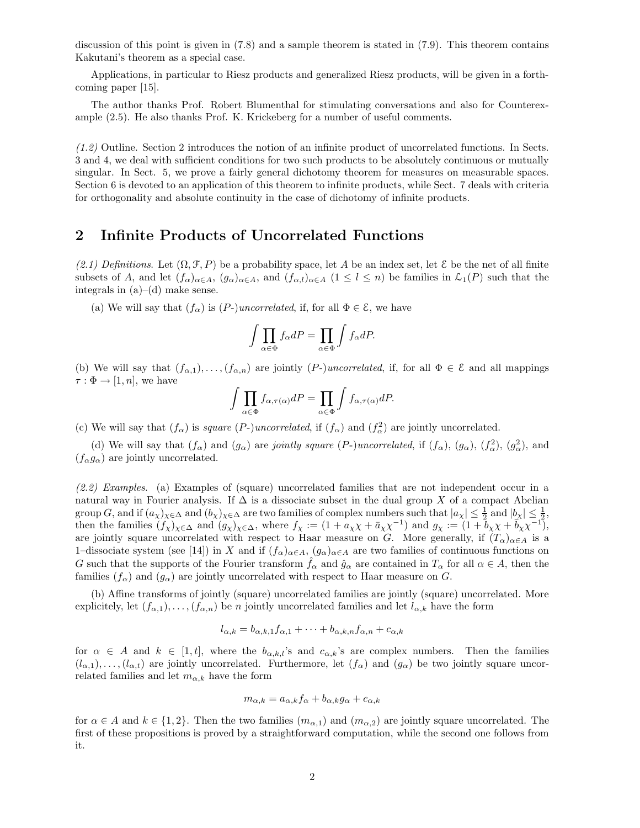discussion of this point is given in (7.8) and a sample theorem is stated in (7.9). This theorem contains Kakutani's theorem as a special case.

Applications, in particular to Riesz products and generalized Riesz products, will be given in a forthcoming paper [15].

The author thanks Prof. Robert Blumenthal for stimulating conversations and also for Counterexample (2.5). He also thanks Prof. K. Krickeberg for a number of useful comments.

(1.2) Outline. Section 2 introduces the notion of an infinite product of uncorrelated functions. In Sects. 3 and 4, we deal with sufficient conditions for two such products to be absolutely continuous or mutually singular. In Sect. 5, we prove a fairly general dichotomy theorem for measures on measurable spaces. Section 6 is devoted to an application of this theorem to infinite products, while Sect. 7 deals with criteria for orthogonality and absolute continuity in the case of dichotomy of infinite products.

## 2 Infinite Products of Uncorrelated Functions

(2.1) Definitions. Let  $(\Omega, \mathcal{F}, P)$  be a probability space, let A be an index set, let E be the net of all finite subsets of A, and let  $(f_{\alpha})_{\alpha\in A}$ ,  $(g_{\alpha})_{\alpha\in A}$ , and  $(f_{\alpha,l})_{\alpha\in A}$   $(1 \leq l \leq n)$  be families in  $\mathcal{L}_1(P)$  such that the integrals in  $(a)$ – $(d)$  make sense.

(a) We will say that  $(f_{\alpha})$  is  $(P-)uncorrelated$ , if, for all  $\Phi \in \mathcal{E}$ , we have

$$
\int \prod_{\alpha \in \Phi} f_{\alpha} dP = \prod_{\alpha \in \Phi} \int f_{\alpha} dP.
$$

(b) We will say that  $(f_{\alpha,1}), \ldots, (f_{\alpha,n})$  are jointly  $(P-)uncorrelated$ , if, for all  $\Phi \in \mathcal{E}$  and all mappings  $\tau : \Phi \to [1, n]$ , we have

$$
\int \prod_{\alpha \in \Phi} f_{\alpha, \tau(\alpha)} dP = \prod_{\alpha \in \Phi} \int f_{\alpha, \tau(\alpha)} dP.
$$

(c) We will say that  $(f_{\alpha})$  is *square (P-)uncorrelated*, if  $(f_{\alpha})$  and  $(f_{\alpha}^2)$  are jointly uncorrelated.

(d) We will say that  $(f_{\alpha})$  and  $(g_{\alpha})$  are *jointly square (P-)uncorrelated*, if  $(f_{\alpha})$ ,  $(g_{\alpha})$ ,  $(f_{\alpha}^2)$ ,  $(g_{\alpha}^2)$ , and  $(f_{\alpha}g_{\alpha})$  are jointly uncorrelated.

(2.2) Examples. (a) Examples of (square) uncorrelated families that are not independent occur in a natural way in Fourier analysis. If  $\Delta$  is a dissociate subset in the dual group X of a compact Abelian group G, and if  $(a_\chi)_{\chi \in \Delta}$  and  $(b_\chi)_{\chi \in \Delta}$  are two families of complex numbers such that  $|a_\chi| \leq \frac{1}{2}$  and  $|b_\chi| \leq \frac{1}{2}$ , then the families  $(f_\chi)_{\chi \in \Delta}$  and  $(g_\chi)_{\chi \in \Delta}$ , where  $f_\chi := (1 + a_\chi \chi + \bar{a}_\chi \chi^{-1})$  and  $g_\chi := (1 + b_\chi \chi + \bar{b}_\chi \chi^{-1})$ , are jointly square uncorrelated with respect to Haar measure on G. More generally, if  $(T_{\alpha})_{\alpha \in A}$  is a 1–dissociate system (see [14]) in X and if  $(f_\alpha)_{\alpha \in A}$ ,  $(g_\alpha)_{\alpha \in A}$  are two families of continuous functions on G such that the supports of the Fourier transform  $\hat{f}_{\alpha}$  and  $\hat{g}_{\alpha}$  are contained in  $T_{\alpha}$  for all  $\alpha \in A$ , then the families  $(f_{\alpha})$  and  $(g_{\alpha})$  are jointly uncorrelated with respect to Haar measure on G.

(b) Affine transforms of jointly (square) uncorrelated families are jointly (square) uncorrelated. More explicitely, let  $(f_{\alpha,1}), \ldots, (f_{\alpha,n})$  be n jointly uncorrelated families and let  $l_{\alpha,k}$  have the form

$$
l_{\alpha,k} = b_{\alpha,k,1} f_{\alpha,1} + \dots + b_{\alpha,k,n} f_{\alpha,n} + c_{\alpha,k}
$$

for  $\alpha \in A$  and  $k \in [1,t]$ , where the  $b_{\alpha,k,l}$ 's and  $c_{\alpha,k}$ 's are complex numbers. Then the families  $(l_{\alpha,1}),\ldots, (l_{\alpha,t})$  are jointly uncorrelated. Furthermore, let  $(f_{\alpha})$  and  $(g_{\alpha})$  be two jointly square uncorrelated families and let  $m_{\alpha,k}$  have the form

$$
m_{\alpha,k} = a_{\alpha,k} f_{\alpha} + b_{\alpha,k} g_{\alpha} + c_{\alpha,k}
$$

for  $\alpha \in A$  and  $k \in \{1,2\}$ . Then the two families  $(m_{\alpha,1})$  and  $(m_{\alpha,2})$  are jointly square uncorrelated. The first of these propositions is proved by a straightforward computation, while the second one follows from it.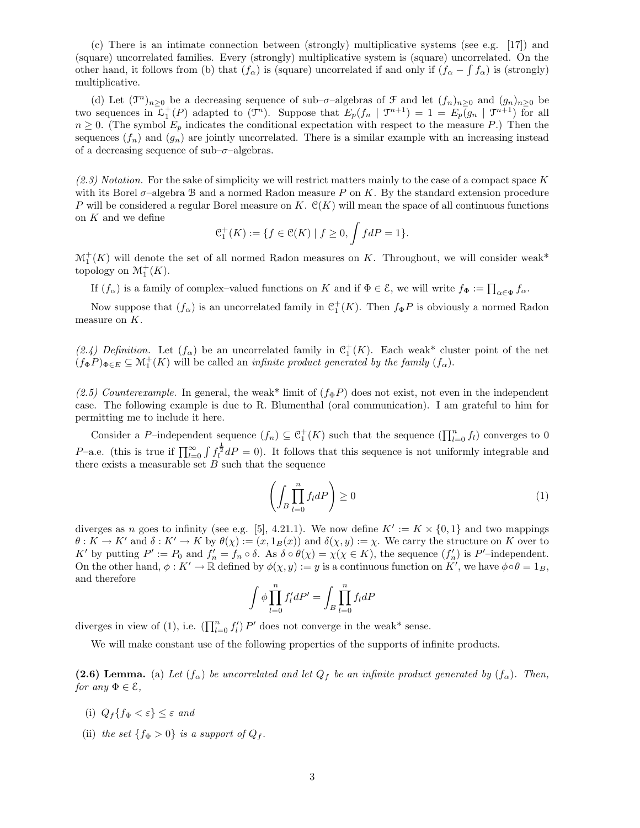(c) There is an intimate connection between (strongly) multiplicative systems (see e.g. [17]) and (square) uncorrelated families. Every (strongly) multiplicative system is (square) uncorrelated. On the other hand, it follows from (b) that  $(f_\alpha)$  is (square) uncorrelated if and only if  $(f_\alpha - \int f_\alpha)$  is (strongly) multiplicative.

(d) Let  $(\mathfrak{I}^n)_{n\geq 0}$  be a decreasing sequence of sub- $\sigma$ -algebras of  $\mathfrak{I}$  and let  $(f_n)_{n\geq 0}$  and  $(g_n)_{n\geq 0}$  be two sequences in  $\mathcal{L}_1^+(P)$  adapted to  $(\mathcal{T}^n)$ . Suppose that  $E_p(f_n | \mathcal{T}^{n+1}) = 1 = E_p(g_n | \mathcal{T}^{n+1})$  for all  $n \geq 0$ . (The symbol  $E_p$  indicates the conditional expectation with respect to the measure P.) Then the sequences  $(f_n)$  and  $(g_n)$  are jointly uncorrelated. There is a similar example with an increasing instead of a decreasing sequence of sub– $\sigma$ –algebras.

 $(2.3)$  Notation. For the sake of simplicity we will restrict matters mainly to the case of a compact space K with its Borel  $\sigma$ –algebra B and a normed Radon measure P on K. By the standard extension procedure P will be considered a regular Borel measure on K.  $\mathcal{C}(K)$  will mean the space of all continuous functions on  $K$  and we define

$$
\mathcal{C}_1^+(K) := \{ f \in \mathcal{C}(K) \mid f \ge 0, \int f dP = 1 \}.
$$

 $\mathcal{M}_1^+(K)$  will denote the set of all normed Radon measures on K. Throughout, we will consider weak\* topology on  $\mathcal{M}_1^+(K)$ .

If  $(f_{\alpha})$  is a family of complex-valued functions on K and if  $\Phi \in \mathcal{E}$ , we will write  $f_{\Phi} := \prod_{\alpha \in \Phi} f_{\alpha}$ .

Now suppose that  $(f_{\alpha})$  is an uncorrelated family in  $\mathcal{C}_1^+(K)$ . Then  $f_{\Phi}P$  is obviously a normed Radon measure on K.

(2.4) Definition. Let  $(f_\alpha)$  be an uncorrelated family in  $\mathcal{C}_1^+(K)$ . Each weak\* cluster point of the net  $(f_{\Phi}P)_{\Phi \in E} \subseteq \mathcal{M}_1^+(K)$  will be called an *infinite product generated by the family*  $(f_{\alpha})$ .

(2.5) Counterexample. In general, the weak\* limit of  $(f_{\Phi}P)$  does not exist, not even in the independent case. The following example is due to R. Blumenthal (oral communication). I am grateful to him for permitting me to include it here.

Consider a P-independent sequence  $(f_n) \subseteq C_1^+(K)$  such that the sequence  $(\prod_{l=0}^n f_l)$  converges to 0 P–a.e. (this is true if  $\prod_{l=0}^{\infty} \int f_l^{\frac{1}{2}} dP = 0$ ). It follows that this sequence is not uniformly integrable and there exists a measurable set  $B$  such that the sequence

$$
\left(\int_{B} \prod_{l=0}^{n} f_l dP\right) \ge 0\tag{1}
$$

diverges as n goes to infinity (see e.g. [5], 4.21.1). We now define  $K' := K \times \{0,1\}$  and two mappings  $\theta : K \to K'$  and  $\delta : K' \to K$  by  $\theta(\chi) := (x, 1_B(x))$  and  $\delta(\chi, y) := \chi$ . We carry the structure on K over to K' by putting  $P' := P_0$  and  $f'_n = f_n \circ \delta$ . As  $\delta \circ \theta(\chi) = \chi(\chi \in K)$ , the sequence  $(f'_n)$  is  $P'$ -independent. On the other hand,  $\phi: K' \to \mathbb{R}$  defined by  $\phi(\chi, y) := y$  is a continuous function on  $K'$ , we have  $\phi \circ \theta = 1_B$ , and therefore

$$
\int \phi \prod_{l=0}^{n} f_l' dP' = \int_B \prod_{l=0}^{n} f_l dP
$$

diverges in view of (1), i.e.  $\left(\prod_{l=0}^{n} f'_{l}\right) P'$  does not converge in the weak\* sense.

We will make constant use of the following properties of the supports of infinite products.

(2.6) Lemma. (a) Let  $(f_{\alpha})$  be uncorrelated and let  $Q_f$  be an infinite product generated by  $(f_{\alpha})$ . Then, for any  $\Phi \in \mathcal{E}$ ,

- (i)  $Q_f\{f_{\Phi}<\varepsilon\}\leq \varepsilon$  and
- (ii) the set  $\{f_{\Phi} > 0\}$  is a support of  $Q_f$ .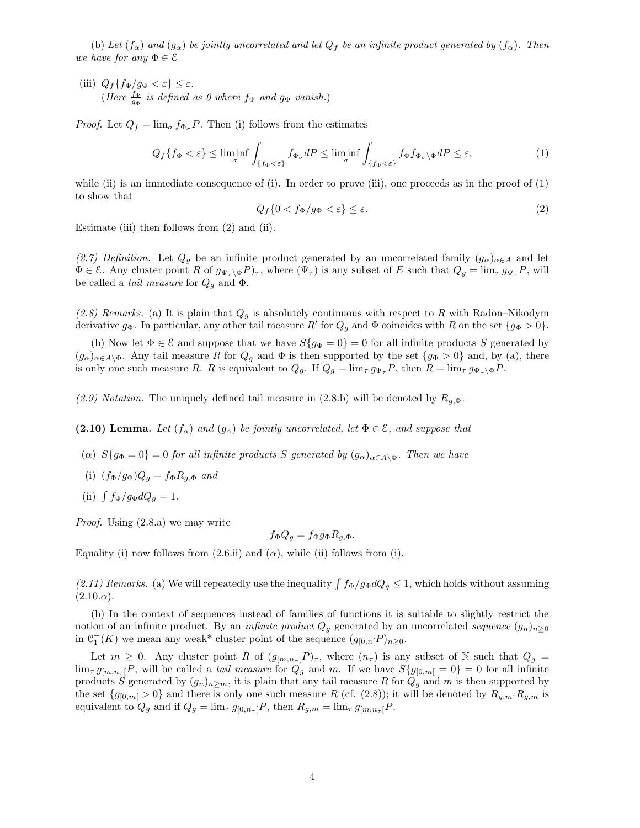(b) Let  $(f_\alpha)$  and  $(g_\alpha)$  be jointly uncorrelated and let  $Q_f$  be an infinite product generated by  $(f_\alpha)$ . Then we have for any  $\Phi \in \mathcal{E}$ 

(iii)  $Q_f\{f_{\Phi}/g_{\Phi} < \varepsilon\} \leq \varepsilon$ . (Here  $\frac{f_{\Phi}}{g_{\Phi}}$  is defined as 0 where  $f_{\Phi}$  and  $g_{\Phi}$  vanish.)

*Proof.* Let  $Q_f = \lim_{\sigma} f_{\Phi_{\sigma}} P$ . Then (i) follows from the estimates

$$
Q_f\{f_{\Phi} < \varepsilon\} \le \liminf_{\sigma} \int_{\{f_{\Phi} < \varepsilon\}} f_{\Phi_{\sigma}} dP \le \liminf_{\sigma} \int_{\{f_{\Phi} < \varepsilon\}} f_{\Phi} f_{\Phi_{\sigma}} \backslash \Phi dP \le \varepsilon,\tag{1}
$$

while (ii) is an immediate consequence of (i). In order to prove (iii), one proceeds as in the proof of  $(1)$ to show that

$$
Q_f\{0 < f_\Phi/g_\Phi < \varepsilon\} \le \varepsilon. \tag{2}
$$

Estimate (iii) then follows from (2) and (ii).

(2.7) Definition. Let  $Q_g$  be an infinite product generated by an uncorrelated family  $(g_\alpha)_{\alpha\in A}$  and let  $\Phi \in \mathcal{E}$ . Any cluster point R of  $g_{\Psi_\tau \backslash \Phi} P_{\tau}$ , where  $(\Psi_\tau)$  is any subset of E such that  $Q_g = \lim_{\tau} g_{\Psi_\tau} P$ , will be called a *tail measure* for  $Q<sub>q</sub>$  and  $\Phi$ .

(2.8) Remarks. (a) It is plain that  $Q_q$  is absolutely continuous with respect to R with Radon–Nikodym derivative  $g_{\Phi}$ . In particular, any other tail measure R' for  $Q_g$  and  $\Phi$  coincides with R on the set  $\{g_{\Phi} > 0\}$ .

(b) Now let  $\Phi \in \mathcal{E}$  and suppose that we have  $S\{g_{\Phi} = 0\} = 0$  for all infinite products S generated by  $(g_{\alpha})_{\alpha\in A\setminus\Phi}$ . Any tail measure R for  $Q_g$  and  $\Phi$  is then supported by the set  $\{g_{\Phi}>0\}$  and, by (a), there is only one such measure R. R is equivalent to  $Q_g$ . If  $Q_g = \lim_{\tau} g_{\Psi_{\tau}} P$ , then  $R = \lim_{\tau} g_{\Psi_{\tau} \setminus \Phi} P$ .

(2.9) Notation. The uniquely defined tail measure in (2.8.b) will be denoted by  $R_{g,\Phi}$ .

(2.10) Lemma. Let  $(f_{\alpha})$  and  $(g_{\alpha})$  be jointly uncorrelated, let  $\Phi \in \mathcal{E}$ , and suppose that

- (α)  $S{g_{\Phi}}=0$  = 0 for all infinite products S generated by  $(g_{\alpha})_{\alpha\in A\setminus\Phi}$ . Then we have
- (i)  $(f_{\Phi}/g_{\Phi})Q_g = f_{\Phi}R_{g,\Phi}$  and
- (ii)  $\int f_{\Phi}/g_{\Phi} dQ_g = 1$ .

Proof. Using (2.8.a) we may write

$$
f_{\Phi}Q_g = f_{\Phi}g_{\Phi}R_{g,\Phi}.
$$

Equality (i) now follows from  $(2.6.ii)$  and  $(\alpha)$ , while (ii) follows from (i).

(2.11) Remarks. (a) We will repeatedly use the inequality  $\int f_{\Phi}/g_{\Phi} dQ_g \leq 1$ , which holds without assuming  $(2.10.\alpha).$ 

(b) In the context of sequences instead of families of functions it is suitable to slightly restrict the notion of an infinite product. By an *infinite product*  $Q_q$  generated by an uncorrelated sequence  $(g_n)_{n>0}$ in  $C_1^+(K)$  we mean any weak\* cluster point of the sequence  $(g_{[0,n]}P)_{n\geq 0}$ .

Let  $m \geq 0$ . Any cluster point R of  $(g_{[m,n_{\tau}]}P)_{\tau}$ , where  $(n_{\tau})$  is any subset of N such that  $Q_g =$  $\lim_{\tau} g_{[m,n_{\tau}]}P$ , will be called a *tail measure* for  $Q_g$  and m. If we have  $S{g_{[0,m]}=0}=0$  for all infinite products S generated by  $(g_n)_{n\geq m}$ , it is plain that any tail measure R for  $Q_g$  and m is then supported by the set  $\{g_{[0,m]} > 0\}$  and there is only one such measure R (cf. (2.8)); it will be denoted by  $R_{g,m} R_{g,m}$  is equivalent to  $Q_g$  and if  $Q_g = \lim_{\tau} g_{[0,n_{\tau}]} P$ , then  $R_{g,m} = \lim_{\tau} g_{[m,n_{\tau}]} P$ .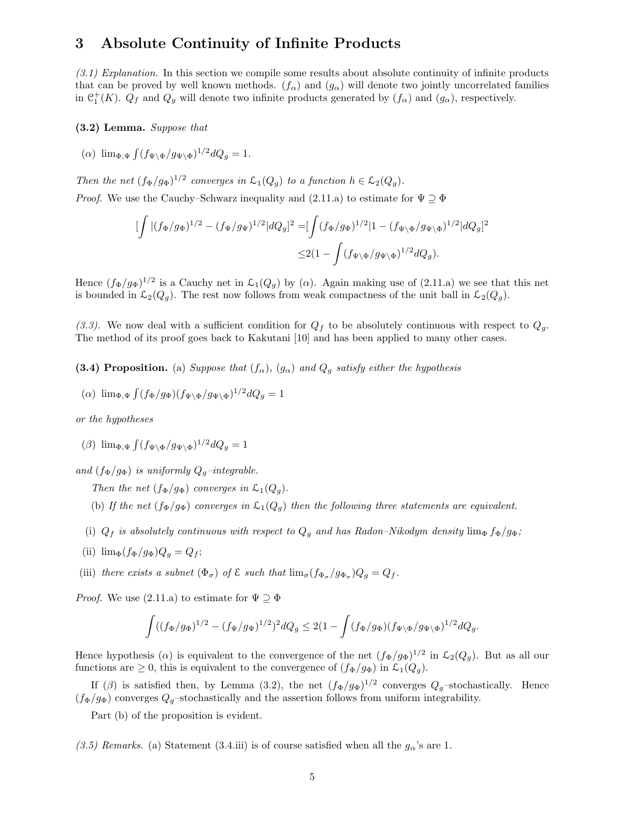## 3 Absolute Continuity of Infinite Products

 $(3.1)$  Explanation. In this section we compile some results about absolute continuity of infinite products that can be proved by well known methods.  $(f_{\alpha})$  and  $(g_{\alpha})$  will denote two jointly uncorrelated families in  $C_1^+(K)$ .  $Q_f$  and  $Q_g$  will denote two infinite products generated by  $(f_\alpha)$  and  $(g_\alpha)$ , respectively.

#### (3.2) Lemma. Suppose that

(a)  $\lim_{\Phi, \Psi} \int (f_{\Psi \setminus \Phi} / g_{\Psi \setminus \Phi})^{1/2} dQ_g = 1.$ 

Then the net  $(f_{\Phi}/g_{\Phi})^{1/2}$  converges in  $\mathcal{L}_1(Q_g)$  to a function  $h \in \mathcal{L}_2(Q_g)$ . *Proof.* We use the Cauchy–Schwarz inequality and  $(2.11.a)$  to estimate for  $\Psi \supseteq \Phi$ 

$$
\begin{split} [\int |(f_\Phi/g_\Phi)^{1/2} - (f_\Psi/g_\Psi)^{1/2}|dQ_g]^2 = & [\int (f_\Phi/g_\Phi)^{1/2}|1 - (f_{\Psi\backslash\Phi}/g_{\Psi\backslash\Phi})^{1/2}|dQ_g]^2 \\ \leq & 2(1-\int (f_{\Psi\backslash\Phi}/g_{\Psi\backslash\Phi})^{1/2}dQ_g). \end{split}
$$

Hence  $(f_{\Phi}/g_{\Phi})^{1/2}$  is a Cauchy net in  $\mathcal{L}_1(Q_g)$  by ( $\alpha$ ). Again making use of (2.11.a) we see that this net is bounded in  $\mathcal{L}_2(Q_g)$ . The rest now follows from weak compactness of the unit ball in  $\mathcal{L}_2(Q_g)$ .

(3.3). We now deal with a sufficient condition for  $Q_f$  to be absolutely continuous with respect to  $Q_g$ . The method of its proof goes back to Kakutani [10] and has been applied to many other cases.

(3.4) Proposition. (a) Suppose that  $(f_{\alpha})$ ,  $(g_{\alpha})$  and  $Q_q$  satisfy either the hypothesis

$$
(\alpha) \ \lim_{\Phi, \Psi} \int (f_{\Phi}/g_{\Phi}) (f_{\Psi \backslash \Phi}/g_{\Psi \backslash \Phi})^{1/2} dQ_g = 1
$$

or the hypotheses

(*β*)  $\lim_{\Phi, \Psi} \int (f_{\Psi \setminus \Phi}/g_{\Psi \setminus \Phi})^{1/2} dQ_g = 1$ 

and  $(f_{\Phi}/g_{\Phi})$  is uniformly  $Q_q$ -integrable.

Then the net  $(f_{\Phi}/g_{\Phi})$  converges in  $\mathcal{L}_1(Q_q)$ .

- (b) If the net  $(f_{\Phi}/g_{\Phi})$  converges in  $\mathcal{L}_1(Q_q)$  then the following three statements are equivalent.
- (i)  $Q_f$  is absolutely continuous with respect to  $Q_g$  and has Radon–Nikodym density lim<sub>Φ</sub>  $f_{\Phi}/g_{\Phi}$ ;
- (ii)  $\lim_{\Phi} (f_{\Phi}/g_{\Phi})Q_g = Q_f;$
- (iii) there exists a subnet  $(\Phi_{\sigma})$  of  $\mathcal E$  such that  $\lim_{\sigma} (f_{\Phi_{\sigma}}/g_{\Phi_{\sigma}})Q_g = Q_f$ .

*Proof.* We use (2.11.a) to estimate for  $\Psi \supseteq \Phi$ 

$$
\int ((f_{\Phi}/g_{\Phi})^{1/2} - (f_{\Psi}/g_{\Psi})^{1/2})^2 dQ_g \leq 2(1 - \int (f_{\Phi}/g_{\Phi})(f_{\Psi \backslash \Phi}/g_{\Psi \backslash \Phi})^{1/2} dQ_g.
$$

Hence hypothesis ( $\alpha$ ) is equivalent to the convergence of the net  $(f_{\Phi}/g_{\Phi})^{1/2}$  in  $\mathcal{L}_2(Q_g)$ . But as all our functions are  $\geq 0$ , this is equivalent to the convergence of  $(f_{\Phi}/g_{\Phi})$  in  $\mathcal{L}_1(Q_g)$ .

If (β) is satisfied then, by Lemma (3.2), the net  $(f_{\Phi}/g_{\Phi})^{1/2}$  converges  $Q_g$ -stochastically. Hence  $(f_{\Phi}/g_{\Phi})$  converges  $Q_g$ -stochastically and the assertion follows from uniform integrability.

Part (b) of the proposition is evident.

(3.5) Remarks. (a) Statement (3.4.iii) is of course satisfied when all the  $g_{\alpha}$ 's are 1.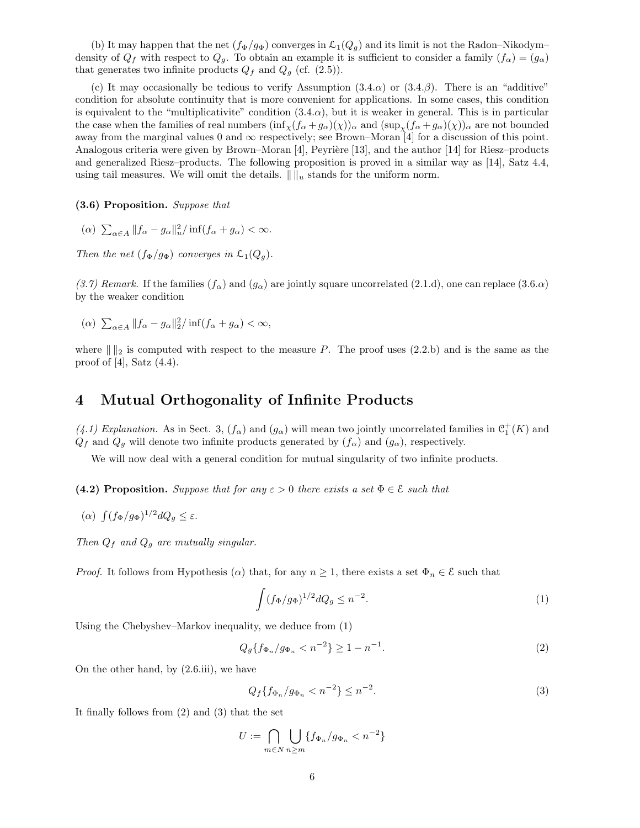(b) It may happen that the net  $(f_{\Phi}/g_{\Phi})$  converges in  $\mathcal{L}_1(Q_g)$  and its limit is not the Radon–Nikodym– density of  $Q_f$  with respect to  $Q_g$ . To obtain an example it is sufficient to consider a family  $(f_\alpha) = (g_\alpha)$ that generates two infinite products  $Q_f$  and  $Q_g$  (cf. (2.5)).

(c) It may occasionally be tedious to verify Assumption  $(3.4.\alpha)$  or  $(3.4.\beta)$ . There is an "additive" condition for absolute continuity that is more convenient for applications. In some cases, this condition is equivalent to the "multiplicativite" condition  $(3.4.\alpha)$ , but it is weaker in general. This is in particular the case when the families of real numbers  $(\inf_{\chi}(f_{\alpha}+g_{\alpha})(\chi))_{\alpha}$  and  $(\sup_{\chi}(f_{\alpha}+g_{\alpha})(\chi))_{\alpha}$  are not bounded away from the marginal values 0 and  $\infty$  respectively; see Brown–Moran [4] for a discussion of this point. Analogous criteria were given by Brown–Moran  $[4]$ , Peyrière [13], and the author [14] for Riesz–products and generalized Riesz–products. The following proposition is proved in a similar way as [14], Satz 4.4, using tail measures. We will omit the details.  $\| \cdot \|_u$  stands for the uniform norm.

(3.6) Proposition. Suppose that

( $\alpha$ )  $\sum_{\alpha \in A} ||f_{\alpha} - g_{\alpha}||_{u}^{2} / \inf(f_{\alpha} + g_{\alpha}) < \infty.$ 

Then the net  $(f_{\Phi}/g_{\Phi})$  converges in  $\mathcal{L}_1(Q_q)$ .

(3.7) Remark. If the families  $(f_\alpha)$  and  $(g_\alpha)$  are jointly square uncorrelated (2.1.d), one can replace (3.6. $\alpha$ ) by the weaker condition

$$
(\alpha) \sum_{\alpha \in A} \|f_{\alpha} - g_{\alpha}\|_2^2 / \inf(f_{\alpha} + g_{\alpha}) < \infty,
$$

where  $\| \|_2$  is computed with respect to the measure P. The proof uses (2.2.b) and is the same as the proof of  $[4]$ , Satz  $(4.4)$ .

## 4 Mutual Orthogonality of Infinite Products

(4.1) Explanation. As in Sect. 3,  $(f_{\alpha})$  and  $(g_{\alpha})$  will mean two jointly uncorrelated families in  $\mathcal{C}_1^+(K)$  and  $Q_f$  and  $Q_g$  will denote two infinite products generated by  $(f_\alpha)$  and  $(g_\alpha)$ , respectively.

We will now deal with a general condition for mutual singularity of two infinite products.

(4.2) Proposition. Suppose that for any  $\varepsilon > 0$  there exists a set  $\Phi \in \mathcal{E}$  such that

$$
(\alpha) \ \int (f_{\Phi}/g_{\Phi})^{1/2} dQ_g \leq \varepsilon.
$$

Then  $Q_f$  and  $Q_g$  are mutually singular.

*Proof.* It follows from Hypothesis ( $\alpha$ ) that, for any  $n \geq 1$ , there exists a set  $\Phi_n \in \mathcal{E}$  such that

$$
\int (f_{\Phi}/g_{\Phi})^{1/2} dQ_g \le n^{-2}.
$$
 (1)

Using the Chebyshev–Markov inequality, we deduce from (1)

$$
Q_g\{f_{\Phi_n}/g_{\Phi_n} < n^{-2}\} \ge 1 - n^{-1}.\tag{2}
$$

On the other hand, by (2.6.iii), we have

$$
Q_f\{f_{\Phi_n}/g_{\Phi_n} < n^{-2}\} \le n^{-2}.\tag{3}
$$

It finally follows from (2) and (3) that the set

$$
U := \bigcap_{m \in N} \bigcup_{n \ge m} \{ f_{\Phi_n} / g_{\Phi_n} < n^{-2} \}
$$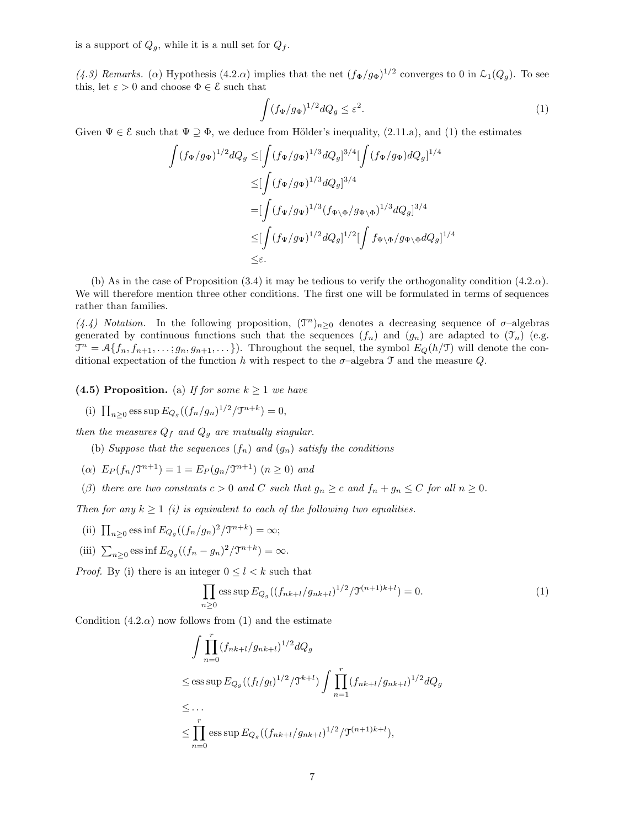is a support of  $Q_q$ , while it is a null set for  $Q_f$ .

(4.3) Remarks. ( $\alpha$ ) Hypothesis (4.2. $\alpha$ ) implies that the net  $(f_{\Phi}/g_{\Phi})^{1/2}$  converges to 0 in  $\mathcal{L}_1(Q_g)$ . To see this, let  $\varepsilon > 0$  and choose  $\Phi \in \mathcal{E}$  such that

$$
\int (f_{\Phi}/g_{\Phi})^{1/2} dQ_g \le \varepsilon^2. \tag{1}
$$

Given  $\Psi \in \mathcal{E}$  such that  $\Psi \supseteq \Phi$ , we deduce from Hölder's inequality, (2.11.a), and (1) the estimates

$$
\int (f_{\Psi}/g_{\Psi})^{1/2} dQ_g \leq [\int (f_{\Psi}/g_{\Psi})^{1/3} dQ_g]^{3/4} [\int (f_{\Psi}/g_{\Psi}) dQ_g]^{1/4}
$$
  
\n
$$
\leq [\int (f_{\Psi}/g_{\Psi})^{1/3} dQ_g]^{3/4}
$$
  
\n
$$
= [\int (f_{\Psi}/g_{\Psi})^{1/3} (f_{\Psi \backslash \Phi}/g_{\Psi \backslash \Phi})^{1/3} dQ_g]^{3/4}
$$
  
\n
$$
\leq [\int (f_{\Psi}/g_{\Psi})^{1/2} dQ_g]^{1/2} [\int f_{\Psi \backslash \Phi}/g_{\Psi \backslash \Phi} dQ_g]^{1/4}
$$
  
\n
$$
\leq \varepsilon.
$$

(b) As in the case of Proposition  $(3.4)$  it may be tedious to verify the orthogonality condition  $(4.2.\alpha)$ . We will therefore mention three other conditions. The first one will be formulated in terms of sequences rather than families.

(4.4) Notation. In the following proposition,  $(\mathcal{T}^n)_{n\geq 0}$  denotes a decreasing sequence of  $\sigma$ -algebras generated by continuous functions such that the sequences  $(f_n)$  and  $(g_n)$  are adapted to  $(\mathcal{T}_n)$  (e.g.  $\mathcal{T}^n = \mathcal{A}\{f_n, f_{n+1}, \ldots, g_n, g_{n+1}, \ldots\}$ . Throughout the sequel, the symbol  $E_Q(h/\mathcal{T})$  will denote the conditional expectation of the function h with respect to the  $\sigma$ -algebra  $\mathcal T$  and the measure Q.

(4.5) Proposition. (a) If for some  $k \geq 1$  we have

(i)  $\prod_{n\geq 0}$  ess sup  $E_{Q_g}((f_n/g_n)^{1/2}/\mathfrak{I}^{n+k}) = 0$ ,

then the measures  $Q_f$  and  $Q_g$  are mutually singular.

(b) Suppose that the sequences  $(f_n)$  and  $(g_n)$  satisfy the conditions

- (a)  $E_P(f_n/\mathfrak{T}^{n+1}) = 1 = E_P(g_n/\mathfrak{T}^{n+1})$   $(n \ge 0)$  and
- (β) there are two constants  $c > 0$  and C such that  $g_n \geq c$  and  $f_n + g_n \leq C$  for all  $n \geq 0$ .

Then for any  $k \ge 1$  (i) is equivalent to each of the following two equalities.

- (ii)  $\prod_{n\geq 0}$  ess inf  $E_{Q_g}((f_n/g_n)^2/\mathfrak{T}^{n+k}) = \infty;$
- (iii)  $\sum_{n\geq 0}$  ess inf  $E_{Q_g}((f_n g_n)^2 / \mathfrak{T}^{n+k}) = \infty$ .

*Proof.* By (i) there is an integer  $0 \le l \le k$  such that

$$
\prod_{n\geq 0} \operatorname{ess} \sup E_{Q_g}((f_{nk+l}/g_{nk+l})^{1/2}/\mathfrak{T}^{(n+1)k+l}) = 0.
$$
 (1)

Condition  $(4.2.\alpha)$  now follows from  $(1)$  and the estimate

$$
\int \prod_{n=0}^{r} (f_{nk+l}/g_{nk+l})^{1/2} dQ_g
$$
\n
$$
\leq \text{ess}\sup E_{Q_g}((f_l/g_l)^{1/2}/\mathfrak{T}^{k+l}) \int \prod_{n=1}^{r} (f_{nk+l}/g_{nk+l})^{1/2} dQ_g
$$
\n
$$
\leq \dots
$$
\n
$$
\leq \prod_{n=0}^{r} \text{ess}\sup E_{Q_g}((f_{nk+l}/g_{nk+l})^{1/2}/\mathfrak{T}^{(n+1)k+l}),
$$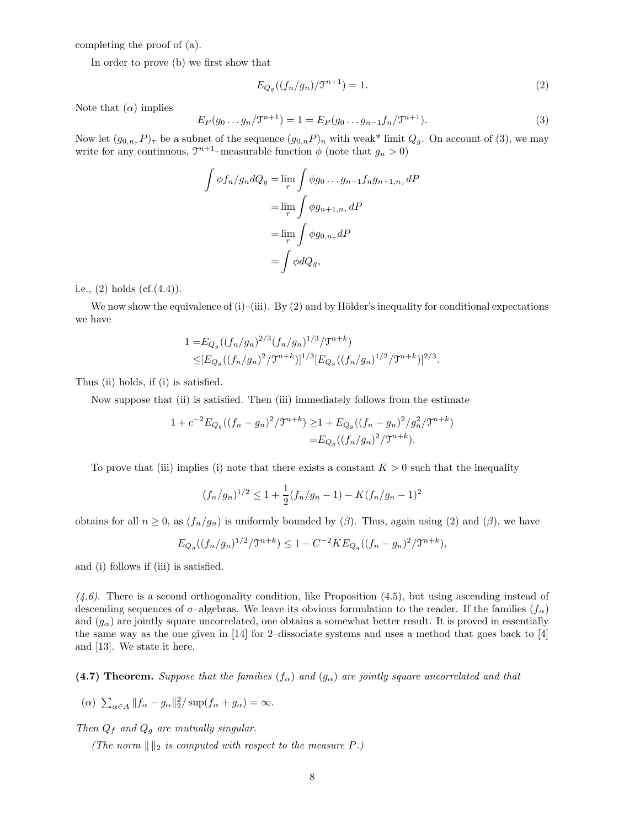completing the proof of (a).

In order to prove (b) we first show that

$$
E_{Q_g}((f_n/g_n)/\mathfrak{T}^{n+1}) = 1.
$$
 (2)

Note that  $(\alpha)$  implies

$$
E_P(g_0 \dots g_n/\mathfrak{T}^{n+1}) = 1 = E_P(g_0 \dots g_{n-1} f_n/\mathfrak{T}^{n+1}).
$$
\n(3)

Now let  $(g_{0,n_{\tau}}P)_{\tau}$  be a subnet of the sequence  $(g_{0,n}P)_n$  with weak\* limit  $Q_q$ . On account of (3), we may write for any continuous,  $\mathfrak{T}^{n+1}$ -measurable function  $\phi$  (note that  $g_n > 0$ )

$$
\int \phi f_n / g_n dQ_g = \lim_{\tau} \int \phi g_0 \dots g_{n-1} f_n g_{n+1,n_\tau} dP
$$

$$
= \lim_{\tau} \int \phi g_{n+1,n_\tau} dP
$$

$$
= \lim_{\tau} \int \phi g_{0,n_\tau} dP
$$

$$
= \int \phi dQ_g,
$$

i.e.,  $(2)$  holds  $(cf.(4.4))$ .

We now show the equivalence of (i)–(iii). By  $(2)$  and by Hölder's inequality for conditional expectations we have

$$
1 = E_{Q_g}((f_n/g_n)^{2/3}(f_n/g_n)^{1/3}/\mathfrak{T}^{n+k})
$$
  
\n
$$
\leq [E_{Q_g}((f_n/g_n)^2/\mathfrak{T}^{n+k})]^{1/3}[E_{Q_g}((f_n/g_n)^{1/2}/\mathfrak{T}^{n+k})]^{2/3}.
$$

Thus (ii) holds, if (i) is satisfied.

Now suppose that (ii) is satisfied. Then (iii) immediately follows from the estimate

$$
\begin{aligned} 1 + c^{-2} E_{Q_g}((f_n - g_n)^2 / \mathfrak{T}^{n+k}) &\ge 1 + E_{Q_g}((f_n - g_n)^2 / g_n^2 / \mathfrak{T}^{n+k}) \\ &= E_{Q_g}((f_n / g_n)^2 / \mathfrak{T}^{n+k}). \end{aligned}
$$

To prove that (iii) implies (i) note that there exists a constant  $K > 0$  such that the inequality

$$
(f_n/g_n)^{1/2} \le 1 + \frac{1}{2}(f_n/g_n - 1) - K(f_n/g_n - 1)^2
$$

obtains for all  $n \geq 0$ , as  $(f_n/g_n)$  is uniformly bounded by  $(\beta)$ . Thus, again using  $(2)$  and  $(\beta)$ , we have

$$
E_{Q_g}((f_n/g_n)^{1/2}/\mathfrak{T}^{n+k}) \le 1 - C^{-2} K E_{Q_g}((f_n - g_n)^2/\mathfrak{T}^{n+k}),
$$

and (i) follows if (iii) is satisfied.

 $(4.6)$ . There is a second orthogonality condition, like Proposition  $(4.5)$ , but using ascending instead of descending sequences of  $\sigma$ –algebras. We leave its obvious formulation to the reader. If the families  $(f_\alpha)$ and  $(g_{\alpha})$  are jointly square uncorrelated, one obtains a somewhat better result. It is proved in essentially the same way as the one given in [14] for 2–dissociate systems and uses a method that goes back to [4] and [13]. We state it here.

(4.7) Theorem. Suppose that the families  $(f_{\alpha})$  and  $(g_{\alpha})$  are jointly square uncorrelated and that

$$
(\alpha) \sum_{\alpha \in A} ||f_{\alpha} - g_{\alpha}||_2^2 / \sup(f_{\alpha} + g_{\alpha}) = \infty.
$$

Then  $Q_f$  and  $Q_g$  are mutually singular.

(The norm  $\| \cdot \|_2$  is computed with respect to the measure P.)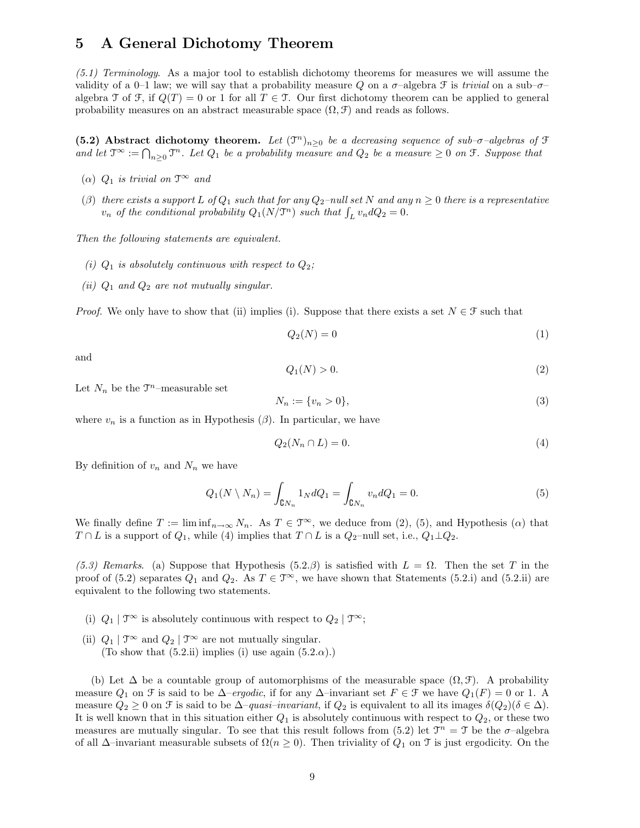## 5 A General Dichotomy Theorem

 $(5.1)$  Terminology. As a major tool to establish dichotomy theorems for measures we will assume the validity of a 0–1 law; we will say that a probability measure Q on a  $\sigma$ –algebra F is trivial on a sub– $\sigma$ – algebra T of F, if  $Q(T) = 0$  or 1 for all  $T \in \mathcal{T}$ . Our first dichotomy theorem can be applied to general probability measures on an abstract measurable space  $(\Omega, \mathcal{F})$  and reads as follows.

(5.2) Abstract dichotomy theorem. Let  $(\mathfrak{I}^n)_{n\geq 0}$  be a decreasing sequence of sub- $\sigma$ -algebras of  $\mathfrak{I}$ and let  $\mathfrak{T}^{\infty} := \bigcap_{n \geq 0} \mathfrak{T}^n$ . Let  $Q_1$  be a probability measure and  $Q_2$  be a measure  $\geq 0$  on  $\mathfrak{F}$ . Suppose that

- ( $\alpha$ )  $Q_1$  is trivial on  $\mathfrak{T}^{\infty}$  and
- (β) there exists a support L of  $Q_1$  such that for any  $Q_2$ -null set N and any  $n \geq 0$  there is a representative  $v_n$  of the conditional probability  $Q_1(N/\mathfrak{T}^n)$  such that  $\int_L v_n dQ_2 = 0$ .

Then the following statements are equivalent.

- (i)  $Q_1$  is absolutely continuous with respect to  $Q_2$ ;
- (ii)  $Q_1$  and  $Q_2$  are not mutually singular.

*Proof.* We only have to show that (ii) implies (i). Suppose that there exists a set  $N \in \mathcal{F}$  such that

$$
Q_2(N) = 0\tag{1}
$$

and

$$
Q_1(N) > 0. \tag{2}
$$

Let  $N_n$  be the  $\mathfrak{T}^n$ -measurable set

$$
N_n := \{v_n > 0\},\tag{3}
$$

where  $v_n$  is a function as in Hypothesis ( $\beta$ ). In particular, we have

$$
Q_2(N_n \cap L) = 0.\t\t(4)
$$

By definition of  $v_n$  and  $N_n$  we have

$$
Q_1(N \setminus N_n) = \int_{\mathbf{C}N_n} 1_N dQ_1 = \int_{\mathbf{C}N_n} v_n dQ_1 = 0.
$$
 (5)

We finally define  $T := \liminf_{n \to \infty} N_n$ . As  $T \in \mathcal{T}^{\infty}$ , we deduce from (2), (5), and Hypothesis ( $\alpha$ ) that  $T \cap L$  is a support of  $Q_1$ , while (4) implies that  $T \cap L$  is a  $Q_2$ –null set, i.e.,  $Q_1 \perp Q_2$ .

(5.3) Remarks. (a) Suppose that Hypothesis (5.2.β) is satisfied with  $L = \Omega$ . Then the set T in the proof of (5.2) separates  $Q_1$  and  $Q_2$ . As  $T \in \mathcal{T}^{\infty}$ , we have shown that Statements (5.2.i) and (5.2.ii) are equivalent to the following two statements.

- (i)  $Q_1 | \mathcal{T}^{\infty}$  is absolutely continuous with respect to  $Q_2 | \mathcal{T}^{\infty}$ ;
- (ii)  $Q_1 | \mathcal{T}^{\infty}$  and  $Q_2 | \mathcal{T}^{\infty}$  are not mutually singular. (To show that  $(5.2.ii)$  implies (i) use again  $(5.2.\alpha)$ .)

(b) Let  $\Delta$  be a countable group of automorphisms of the measurable space  $(\Omega, \mathcal{F})$ . A probability measure  $Q_1$  on  $\mathcal F$  is said to be  $\Delta$ –ergodic, if for any  $\Delta$ –invariant set  $F \in \mathcal F$  we have  $Q_1(F) = 0$  or 1. A measure  $Q_2 \geq 0$  on F is said to be  $\Delta$ –quasi–invariant, if  $Q_2$  is equivalent to all its images  $\delta(Q_2)(\delta \in \Delta)$ . It is well known that in this situation either  $Q_1$  is absolutely continuous with respect to  $Q_2$ , or these two measures are mutually singular. To see that this result follows from (5.2) let  $\mathfrak{T}^n = \mathfrak{T}$  be the  $\sigma$ -algebra of all  $\Delta$ –invariant measurable subsets of  $\Omega(n \geq 0)$ . Then triviality of  $Q_1$  on T is just ergodicity. On the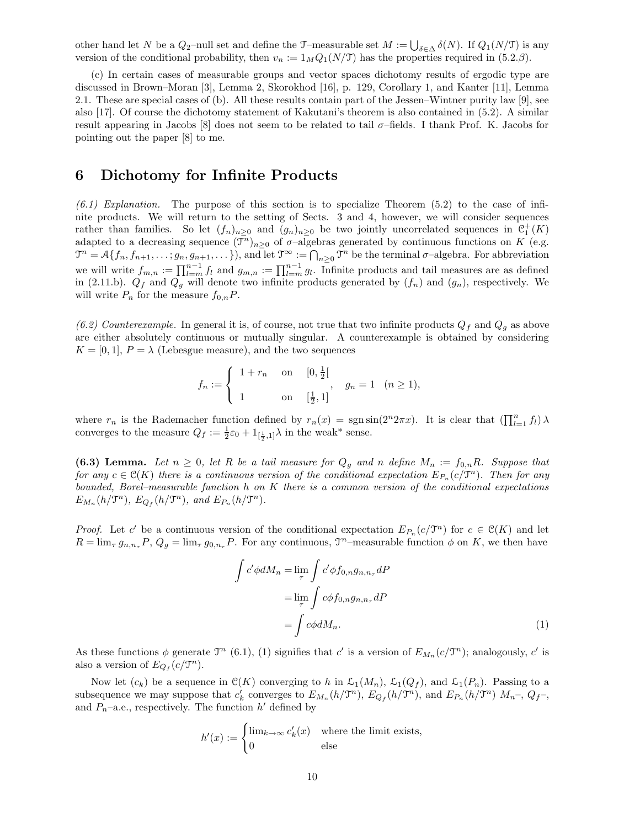other hand let N be a  $Q_2$ –null set and define the T–measurable set  $M := \bigcup_{\delta \in \Delta} \delta(N)$ . If  $Q_1(N/\mathfrak{I})$  is any version of the conditional probability, then  $v_n := 1_M Q_1(N/\mathcal{I})$  has the properties required in (5.2.*β*).

(c) In certain cases of measurable groups and vector spaces dichotomy results of ergodic type are discussed in Brown–Moran [3], Lemma 2, Skorokhod [16], p. 129, Corollary 1, and Kanter [11], Lemma 2.1. These are special cases of (b). All these results contain part of the Jessen–Wintner purity law [9], see also [17]. Of course the dichotomy statement of Kakutani's theorem is also contained in (5.2). A similar result appearing in Jacobs [8] does not seem to be related to tail  $\sigma$ -fields. I thank Prof. K. Jacobs for pointing out the paper [8] to me.

## 6 Dichotomy for Infinite Products

 $(6.1)$  Explanation. The purpose of this section is to specialize Theorem  $(5.2)$  to the case of infinite products. We will return to the setting of Sects. 3 and 4, however, we will consider sequences rather than families. So let  $(f_n)_{n\geq 0}$  and  $(g_n)_{n\geq 0}$  be two jointly uncorrelated sequences in  $\mathcal{C}_1^+(K)$ adapted to a decreasing sequence  $(\bar{\mathcal{T}}^n)_{n\geq 0}$  of  $\sigma$ -algebras generated by continuous functions on K (e.g.  $\mathfrak{T}^n = \mathcal{A}\{f_n, f_{n+1}, \ldots; g_n, g_{n+1}, \ldots\}\)$ , and let  $\mathfrak{T}^\infty := \bigcap_{n \geq 0} \mathfrak{T}^n$  be the terminal  $\sigma$ -algebra. For abbreviation we will write  $f_{m,n} := \prod_{l=m}^{n-1} f_l$  and  $g_{m,n} := \prod_{l=m}^{n-1} g_l$ . Infinite products and tail measures are as defined in (2.11.b).  $Q_f$  and  $Q_g$  will denote two infinite products generated by  $(f_n)$  and  $(g_n)$ , respectively. We will write  $P_n$  for the measure  $f_{0,n}P$ .

(6.2) Counterexample. In general it is, of course, not true that two infinite products  $Q_f$  and  $Q_g$  as above are either absolutely continuous or mutually singular. A counterexample is obtained by considering  $K = [0, 1], P = \lambda$  (Lebesgue measure), and the two sequences

$$
f_n := \begin{cases} 1 + r_n & \text{on} \quad [0, \frac{1}{2}] \\ 1 & \text{on} \quad [\frac{1}{2}, 1] \end{cases}, \quad g_n = 1 \quad (n \ge 1),
$$

where  $r_n$  is the Rademacher function defined by  $r_n(x) = \text{sgn} \sin(2^n 2\pi x)$ . It is clear that  $(\prod_{l=1}^n f_l) \lambda$ converges to the measure  $Q_f := \frac{1}{2}\varepsilon_0 + 1_{[\frac{1}{2},1]} \lambda$  in the weak\* sense.

(6.3) Lemma. Let  $n \geq 0$ , let R be a tail measure for  $Q_g$  and n define  $M_n := f_{0,n}R$ . Suppose that for any  $c \in \mathcal{C}(K)$  there is a continuous version of the conditional expectation  $E_{P_n}(c/\mathfrak{T}^n)$ . Then for any bounded, Borel–measurable function  $h$  on  $K$  there is a common version of the conditional expectations  $E_{M_n}(h/\mathfrak{T}^n)$ ,  $E_{Q_f}(h/\mathfrak{T}^n)$ , and  $E_{P_n}(h/\mathfrak{T}^n)$ .

*Proof.* Let c' be a continuous version of the conditional expectation  $E_{P_n}(c/\mathfrak{T}^n)$  for  $c \in \mathfrak{C}(K)$  and let  $R = \lim_{\tau} g_{n,n_{\tau}} P$ ,  $Q_g = \lim_{\tau} g_{0,n_{\tau}} P$ . For any continuous,  $\mathfrak{T}^n$ -measurable function  $\phi$  on K, we then have

$$
\int c' \phi dM_n = \lim_{\tau} \int c' \phi f_{0,n} g_{n,n_\tau} dP
$$

$$
= \lim_{\tau} \int c \phi f_{0,n} g_{n,n_\tau} dP
$$

$$
= \int c \phi dM_n.
$$
(1)

As these functions  $\phi$  generate  $\mathcal{T}^n$  (6.1), (1) signifies that c' is a version of  $E_{M_n}(c/\mathcal{T}^n)$ ; analogously, c' is also a version of  $E_{Q_f}(c/\mathfrak{T}^n)$ .

Now let  $(c_k)$  be a sequence in  $\mathcal{C}(K)$  converging to h in  $\mathcal{L}_1(M_n)$ ,  $\mathcal{L}_1(Q_f)$ , and  $\mathcal{L}_1(P_n)$ . Passing to a subsequence we may suppose that  $c'_k$  converges to  $E_{M_n}(h/\mathfrak{T}^n)$ ,  $E_{Q_f}(h/\mathfrak{T}^n)$ , and  $E_{P_n}(h/\mathfrak{T}^n)$   $M_n$ -,  $Q_f$ -, and  $P_n$ –a.e., respectively. The function  $h'$  defined by

$$
h'(x) := \begin{cases} \lim_{k \to \infty} c'_k(x) & \text{where the limit exists,} \\ 0 & \text{else} \end{cases}
$$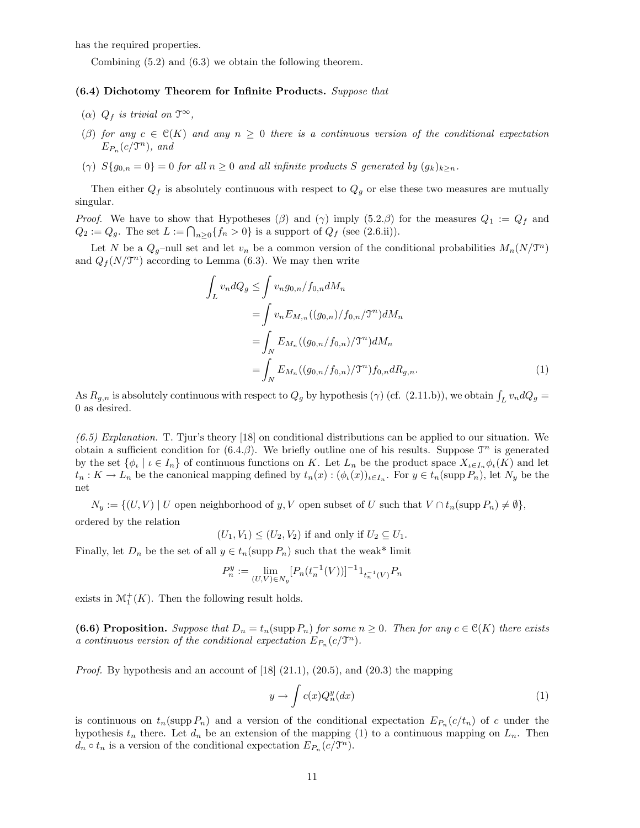has the required properties.

Combining (5.2) and (6.3) we obtain the following theorem.

## (6.4) Dichotomy Theorem for Infinite Products. Suppose that

- ( $\alpha$ )  $Q_f$  is trivial on  $\mathfrak{T}^{\infty}$ ,
- (β) for any  $c \in \mathcal{C}(K)$  and any  $n \geq 0$  there is a continuous version of the conditional expectation  $E_{P_n}(c/\mathfrak{T}^n)$ , and
- (γ)  $S{g_{0,n} = 0} = 0$  for all  $n \ge 0$  and all infinite products S generated by  $(g_k)_{k \ge n}$ .

Then either  $Q_f$  is absolutely continuous with respect to  $Q_g$  or else these two measures are mutually singular.

*Proof.* We have to show that Hypotheses ( $\beta$ ) and ( $\gamma$ ) imply (5.2. $\beta$ ) for the measures  $Q_1 := Q_f$  and  $Q_2 := Q_g$ . The set  $L := \bigcap_{n \geq 0} \{f_n > 0\}$  is a support of  $Q_f$  (see (2.6.ii)).

Let N be a  $Q_g$ -null set and let  $v_n$  be a common version of the conditional probabilities  $M_n(N/\mathfrak{T}^n)$ and  $Q_f(N/\mathcal{T}^n)$  according to Lemma (6.3). We may then write

$$
\int_{L} v_{n} dQ_{g} \leq \int v_{n} g_{0,n} / f_{0,n} dM_{n}
$$
\n
$$
= \int v_{n} E_{M,n} ((g_{0,n}) / f_{0,n} / \mathcal{T}^{n}) dM_{n}
$$
\n
$$
= \int_{N} E_{M_{n}} ((g_{0,n} / f_{0,n}) / \mathcal{T}^{n}) dM_{n}
$$
\n
$$
= \int_{N} E_{M_{n}} ((g_{0,n} / f_{0,n}) / \mathcal{T}^{n}) f_{0,n} dR_{g,n}.
$$
\n(1)

As  $R_{g,n}$  is absolutely continuous with respect to  $Q_g$  by hypothesis ( $\gamma$ ) (cf. (2.11.b)), we obtain  $\int_L v_n dQ_g =$ 0 as desired.

 $(6.5)$  Explanation. T. Tjur's theory [18] on conditional distributions can be applied to our situation. We obtain a sufficient condition for  $(6.4.\beta)$ . We briefly outline one of his results. Suppose  $\mathcal{T}^n$  is generated by the set  $\{\phi_\iota \mid \iota \in I_n\}$  of continuous functions on K. Let  $L_n$  be the product space  $X_{\iota \in I_n} \phi_\iota(K)$  and let  $t_n: K \to L_n$  be the canonical mapping defined by  $t_n(x): (\phi_\iota(x))_{\iota \in I_n}$ . For  $y \in t_n(\text{supp } P_n)$ , let  $N_y$  be the net

 $N_y := \{(U, V) \mid U \text{ open neighborhood of } y, V \text{ open subset of } U \text{ such that } V \cap t_n(\text{supp } P_n) \neq \emptyset \},\$ ordered by the relation

 $(U_1, V_1) \leq (U_2, V_2)$  if and only if  $U_2 \subseteq U_1$ .

Finally, let  $D_n$  be the set of all  $y \in t_n(\text{supp } P_n)$  such that the weak\* limit

$$
P_n^y:=\lim_{(U,V)\in N_y}[P_n(t_n^{-1}(V))]^{-1}1_{t_n^{-1}(V)}P_n
$$

exists in  $\mathcal{M}_1^+(K)$ . Then the following result holds.

(6.6) Proposition. Suppose that  $D_n = t_n(\text{supp } P_n)$  for some  $n \geq 0$ . Then for any  $c \in \mathcal{C}(K)$  there exists a continuous version of the conditional expectation  $E_{P_n}(c/\mathfrak{T}^n)$ .

*Proof.* By hypothesis and an account of [18]  $(21.1)$ ,  $(20.5)$ , and  $(20.3)$  the mapping

$$
y \to \int c(x)Q_n^y(dx) \tag{1}
$$

is continuous on  $t_n(\text{supp }P_n)$  and a version of the conditional expectation  $E_{P_n}(c/t_n)$  of c under the hypothesis  $t_n$  there. Let  $d_n$  be an extension of the mapping (1) to a continuous mapping on  $L_n$ . Then  $d_n \circ t_n$  is a version of the conditional expectation  $E_{P_n}(c/\mathfrak{T}^n)$ .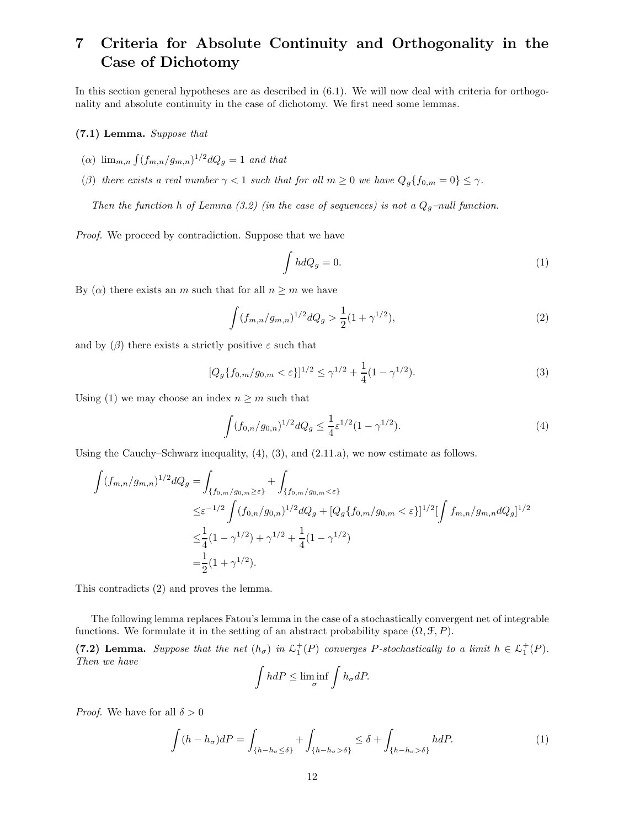# 7 Criteria for Absolute Continuity and Orthogonality in the Case of Dichotomy

In this section general hypotheses are as described in (6.1). We will now deal with criteria for orthogonality and absolute continuity in the case of dichotomy. We first need some lemmas.

## (7.1) Lemma. Suppose that

- (a)  $\lim_{m,n} \int (f_{m,n}/g_{m,n})^{1/2} dQ_g = 1$  and that
- (β) there exists a real number  $\gamma < 1$  such that for all  $m \geq 0$  we have  $Q_g\{f_{0,m} = 0\} \leq \gamma$ .

Then the function h of Lemma (3.2) (in the case of sequences) is not a  $Q_g$ -null function.

Proof. We proceed by contradiction. Suppose that we have

$$
\int hdQ_g = 0.\tag{1}
$$

By  $(\alpha)$  there exists an m such that for all  $n \geq m$  we have

$$
\int (f_{m,n}/g_{m,n})^{1/2} dQ_g > \frac{1}{2} (1 + \gamma^{1/2}),\tag{2}
$$

and by  $(\beta)$  there exists a strictly positive  $\varepsilon$  such that

$$
[Q_g\{f_{0,m}/g_{0,m} < \varepsilon\}]^{1/2} \le \gamma^{1/2} + \frac{1}{4}(1 - \gamma^{1/2}).\tag{3}
$$

Using (1) we may choose an index  $n \geq m$  such that

$$
\int (f_{0,n}/g_{0,n})^{1/2} dQ_g \le \frac{1}{4} \varepsilon^{1/2} (1 - \gamma^{1/2}).
$$
\n(4)

Using the Cauchy–Schwarz inequality,  $(4)$ ,  $(3)$ , and  $(2.11.a)$ , we now estimate as follows.

$$
\int (f_{m,n}/g_{m,n})^{1/2} dQ_g = \int_{\{f_{0,m}/g_{0,m}\geq \varepsilon\}} + \int_{\{f_{0,m}/g_{0,m} < \varepsilon\}} \n\leq \varepsilon^{-1/2} \int (f_{0,n}/g_{0,n})^{1/2} dQ_g + [Q_g\{f_{0,m}/g_{0,m} < \varepsilon\}]^{1/2} [\int f_{m,n}/g_{m,n} dQ_g]^{1/2} \n\leq \frac{1}{4} (1 - \gamma^{1/2}) + \gamma^{1/2} + \frac{1}{4} (1 - \gamma^{1/2}) \n= \frac{1}{2} (1 + \gamma^{1/2}).
$$

This contradicts (2) and proves the lemma.

The following lemma replaces Fatou's lemma in the case of a stochastically convergent net of integrable functions. We formulate it in the setting of an abstract probability space  $(\Omega, \mathcal{F}, P)$ .

(7.2) Lemma. Suppose that the net  $(h_{\sigma})$  in  $\mathcal{L}_1^+(P)$  converges P-stochastically to a limit  $h \in \mathcal{L}_1^+(P)$ . Then we have

$$
\int h dP \le \liminf_{\sigma} \int h_{\sigma} dP.
$$

*Proof.* We have for all  $\delta > 0$ 

$$
\int (h - h_{\sigma})dP = \int_{\{h - h_{\sigma} \le \delta\}} + \int_{\{h - h_{\sigma} > \delta\}} \le \delta + \int_{\{h - h_{\sigma} > \delta\}} h dP. \tag{1}
$$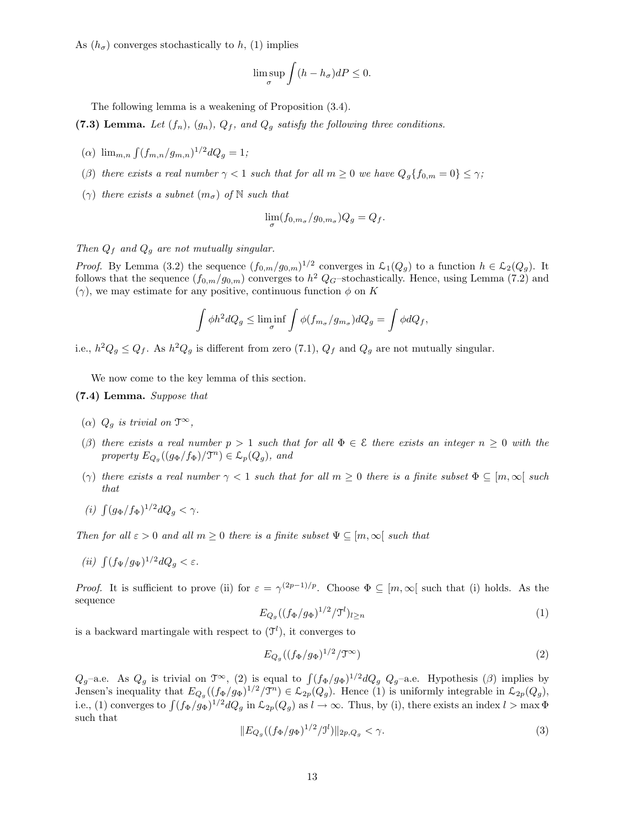As  $(h_{\sigma})$  converges stochastically to h, (1) implies

$$
\limsup_{\sigma} \int (h - h_{\sigma}) dP \le 0.
$$

The following lemma is a weakening of Proposition (3.4).

(7.3) Lemma. Let  $(f_n)$ ,  $(g_n)$ ,  $Q_f$ , and  $Q_g$  satisfy the following three conditions.

- (a)  $\lim_{m,n} \int (f_{m,n}/g_{m,n})^{1/2} dQ_g = 1;$
- (β) there exists a real number  $\gamma < 1$  such that for all  $m \geq 0$  we have  $Q_g\{f_{0,m} = 0\} \leq \gamma$ ;
- $(\gamma)$  there exists a subnet  $(m_{\sigma})$  of N such that

$$
\lim_{\sigma} (f_{0,m_{\sigma}}/g_{0,m_{\sigma}})Q_g = Q_f.
$$

Then  $Q_f$  and  $Q_g$  are not mutually singular.

*Proof.* By Lemma (3.2) the sequence  $(f_{0,m}/g_{0,m})^{1/2}$  converges in  $\mathcal{L}_1(Q_g)$  to a function  $h \in \mathcal{L}_2(Q_g)$ . It follows that the sequence  $(f_{0,m}/g_{0,m})$  converges to  $h^2$  Q<sub>G</sub>-stochastically. Hence, using Lemma (7.2) and  $(\gamma)$ , we may estimate for any positive, continuous function  $\phi$  on K

$$
\int \phi h^2 dQ_g \le \liminf_{\sigma} \int \phi(f_{m_\sigma}/g_{m_\sigma}) dQ_g = \int \phi dQ_f,
$$

i.e.,  $h^2 Q_g \leq Q_f$ . As  $h^2 Q_g$  is different from zero (7.1),  $Q_f$  and  $Q_g$  are not mutually singular.

We now come to the key lemma of this section.

### (7.4) Lemma. Suppose that

- (a)  $Q_g$  is trivial on  $\mathfrak{T}^{\infty}$ ,
- (β) there exists a real number  $p > 1$  such that for all  $\Phi \in \mathcal{E}$  there exists an integer  $n \geq 0$  with the property  $E_{Q_g}((g_{\Phi}/f_{\Phi})/\mathfrak{T}^n) \in \mathcal{L}_p(Q_g)$ , and
- (γ) there exists a real number  $\gamma < 1$  such that for all  $m \geq 0$  there is a finite subset  $\Phi \subseteq [m, \infty]$  such that
- (i)  $\int (g_{\Phi}/f_{\Phi})^{1/2} dQ_g < \gamma$ .

Then for all  $\varepsilon > 0$  and all  $m \geq 0$  there is a finite subset  $\Psi \subseteq [m, \infty)$  such that

(ii)  $\int (f_{\Psi}/g_{\Psi})^{1/2} dQ_g < \varepsilon$ .

*Proof.* It is sufficient to prove (ii) for  $\varepsilon = \gamma^{(2p-1)/p}$ . Choose  $\Phi \subseteq [m, \infty]$  such that (i) holds. As the sequence

$$
E_{Q_g}((f_{\Phi}/g_{\Phi})^{1/2}/\mathfrak{I}^{l})_{l\geq n} \tag{1}
$$

is a backward martingale with respect to  $(\mathcal{T}^l)$ , it converges to

$$
E_{Q_g}((f_\Phi/g_\Phi)^{1/2}/\mathfrak{T}^\infty) \tag{2}
$$

 $Q_g$ –a.e. As  $Q_g$  is trivial on  $\mathcal{T}^{\infty}$ , (2) is equal to  $\int (f_{\Phi}/g_{\Phi})^{1/2} dQ_g Q_g$ –a.e. Hypothesis ( $\beta$ ) implies by Jensen's inequality that  $E_{Q_g}((f_{\Phi}/g_{\Phi})^{1/2}/\mathcal{T}^n) \in \mathcal{L}_{2p}(Q_g)$ . Hence (1) is uniformly integrable in  $\mathcal{L}_{2p}(Q_g)$ , i.e., (1) converges to  $\int (f_{\Phi}/g_{\Phi})^{1/2} dQ_g$  in  $\mathcal{L}_{2p}(Q_g)$  as  $l \to \infty$ . Thus, by (i), there exists an index  $l > \max \Phi$ such that

$$
||E_{Q_g}((f_{\Phi}/g_{\Phi})^{1/2}/J^l)||_{2p,Q_g} < \gamma.
$$
\n(3)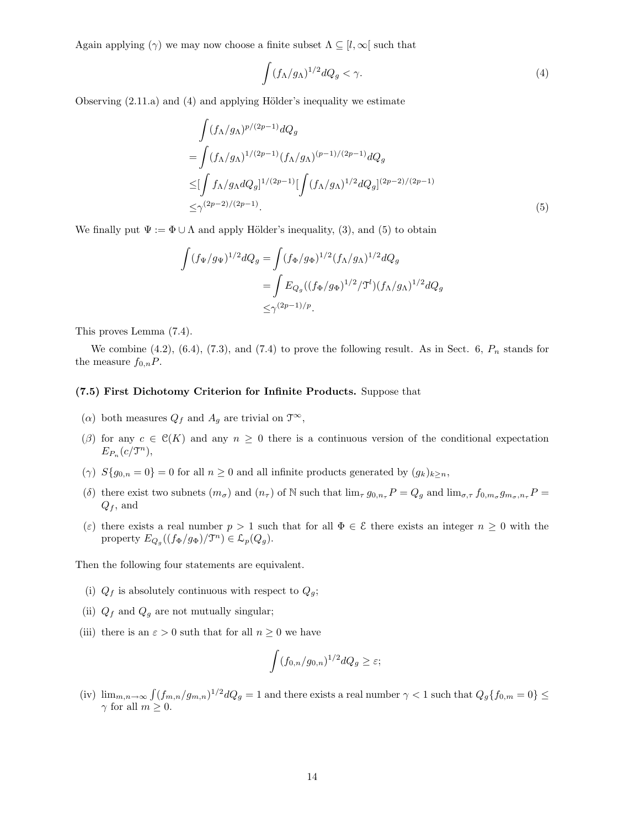Again applying (γ) we may now choose a finite subset  $\Lambda \subseteq [l, \infty]$  such that

$$
\int (f_{\Lambda}/g_{\Lambda})^{1/2} dQ_g < \gamma.
$$
 (4)

Observing  $(2.11.a)$  and  $(4)$  and applying Hölder's inequality we estimate

$$
\int (f_{\Lambda}/g_{\Lambda})^{p/(2p-1)} dQ_g
$$
\n
$$
= \int (f_{\Lambda}/g_{\Lambda})^{1/(2p-1)} (f_{\Lambda}/g_{\Lambda})^{(p-1)/(2p-1)} dQ_g
$$
\n
$$
\leq [\int f_{\Lambda}/g_{\Lambda} dQ_g]^{1/(2p-1)} [\int (f_{\Lambda}/g_{\Lambda})^{1/2} dQ_g]^{(2p-2)/(2p-1)}
$$
\n
$$
\leq \gamma^{(2p-2)/(2p-1)}.
$$
\n(5)

We finally put  $\Psi := \Phi \cup \Lambda$  and apply Hölder's inequality, (3), and (5) to obtain

$$
\int (f_{\Psi}/g_{\Psi})^{1/2} dQ_g = \int (f_{\Phi}/g_{\Phi})^{1/2} (f_{\Lambda}/g_{\Lambda})^{1/2} dQ_g
$$
  
= 
$$
\int E_{Q_g} ((f_{\Phi}/g_{\Phi})^{1/2}/\mathcal{T}^l) (f_{\Lambda}/g_{\Lambda})^{1/2} dQ_g
$$
  
\$\leq \gamma^{(2p-1)/p}\$.

This proves Lemma (7.4).

We combine  $(4.2)$ ,  $(6.4)$ ,  $(7.3)$ , and  $(7.4)$  to prove the following result. As in Sect. 6,  $P_n$  stands for the measure  $f_{0,n}P$ .

#### (7.5) First Dichotomy Criterion for Infinite Products. Suppose that

- ( $\alpha$ ) both measures  $Q_f$  and  $A_g$  are trivial on  $\mathfrak{T}^{\infty}$ ,
- (β) for any  $c \in \mathcal{C}(K)$  and any  $n \geq 0$  there is a continuous version of the conditional expectation  $E_{P_n}(c/\mathfrak{T}^n),$
- (γ)  $S{g_{0,n} = 0} = 0$  for all  $n \ge 0$  and all infinite products generated by  $(g_k)_{k \ge n}$ ,
- (δ) there exist two subnets  $(m_{\sigma})$  and  $(n_{\tau})$  of N such that  $\lim_{\tau} g_{0,n_{\tau}} P = Q_g$  and  $\lim_{\sigma,\tau} f_{0,m_{\sigma}} g_{m_{\sigma},n_{\tau}} P =$  $Q_f$ , and
- (ε) there exists a real number  $p > 1$  such that for all  $\Phi \in \mathcal{E}$  there exists an integer  $n \geq 0$  with the property  $E_{Q_g}((f_{\Phi}/g_{\Phi})/\mathfrak{T}^n) \in \mathcal{L}_p(Q_g)$ .

Then the following four statements are equivalent.

- (i)  $Q_f$  is absolutely continuous with respect to  $Q_g$ ;
- (ii)  $Q_f$  and  $Q_g$  are not mutually singular;
- (iii) there is an  $\varepsilon > 0$  suth that for all  $n \geq 0$  we have

$$
\int (f_{0,n}/g_{0,n})^{1/2} dQ_g \ge \varepsilon;
$$

(iv)  $\lim_{m,n\to\infty} \int (f_{m,n}/g_{m,n})^{1/2} dQ_g = 1$  and there exists a real number  $\gamma < 1$  such that  $Q_g\{f_{0,m} = 0\} \le$  $\gamma$  for all  $m \geq 0$ .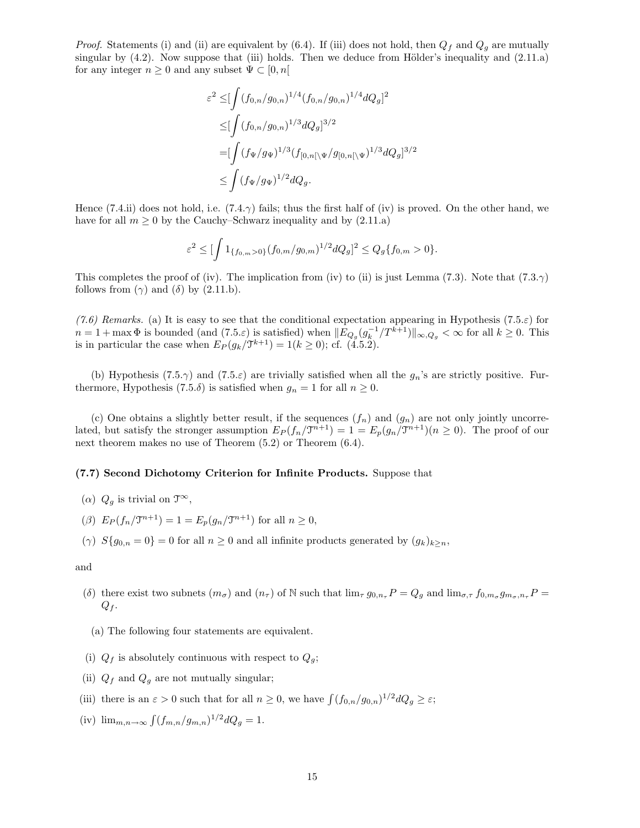*Proof.* Statements (i) and (ii) are equivalent by (6.4). If (iii) does not hold, then  $Q_f$  and  $Q_g$  are mutually singular by  $(4.2)$ . Now suppose that (iii) holds. Then we deduce from Hölder's inequality and  $(2.11.a)$ for any integer  $n \geq 0$  and any subset  $\Psi \subset [0, n]$ 

$$
\varepsilon^2 \leq \left[\int (f_{0,n}/g_{0,n})^{1/4} (f_{0,n}/g_{0,n})^{1/4} dQ_g\right]^2
$$
  
\n
$$
\leq \left[\int (f_{0,n}/g_{0,n})^{1/3} dQ_g\right]^{3/2}
$$
  
\n
$$
= \left[\int (f_{\Psi}/g_{\Psi})^{1/3} (f_{[0,n[\backslash \Psi}/g_{[0,n[\backslash \Psi})^{1/3} dQ_g]^{3/2})\right]
$$
  
\n
$$
\leq \int (f_{\Psi}/g_{\Psi})^{1/2} dQ_g.
$$

Hence (7.4.ii) does not hold, i.e. (7.4. $\gamma$ ) fails; thus the first half of (iv) is proved. On the other hand, we have for all  $m \geq 0$  by the Cauchy–Schwarz inequality and by  $(2.11.a)$ 

$$
\varepsilon^2 \leq \left[\int 1_{\{f_{0,m}>0\}}(f_{0,m}/g_{0,m})^{1/2}dQ_g\right]^2 \leq Q_g\{f_{0,m}>0\}.
$$

This completes the proof of (iv). The implication from (iv) to (ii) is just Lemma (7.3). Note that (7.3. $\gamma$ ) follows from  $(\gamma)$  and  $(\delta)$  by  $(2.11.b)$ .

(7.6) Remarks. (a) It is easy to see that the conditional expectation appearing in Hypothesis (7.5. $\varepsilon$ ) for  $n = 1 + \max \Phi$  is bounded (and  $(7.5.\varepsilon)$  is satisfied) when  $||E_{Q_g}(g_k^{-1}/T^{k+1})||_{\infty,Q_g} < \infty$  for all  $k \ge 0$ . This is in particular the case when  $E_P(g_k/\mathfrak{T}^{k+1}) = 1 (k \geq 0)$ ; cf. (4.5.2).

(b) Hypothesis (7.5. $\gamma$ ) and (7.5. $\varepsilon$ ) are trivially satisfied when all the  $g_n$ 's are strictly positive. Furthermore, Hypothesis (7.5. $\delta$ ) is satisfied when  $g_n = 1$  for all  $n \geq 0$ .

(c) One obtains a slightly better result, if the sequences  $(f_n)$  and  $(g_n)$  are not only jointly uncorrelated, but satisfy the stronger assumption  $E_P(f_n/\mathcal{T}^{n+1}) = 1 = E_p(g_n/\mathcal{T}^{n+1})(n \ge 0)$ . The proof of our next theorem makes no use of Theorem (5.2) or Theorem (6.4).

#### (7.7) Second Dichotomy Criterion for Infinite Products. Suppose that

- ( $\alpha$ )  $Q_g$  is trivial on  $\mathfrak{T}^{\infty}$ ,
- (*β*)  $E_P(f_n/\mathfrak{T}^{n+1}) = 1 = E_p(g_n/\mathfrak{T}^{n+1})$  for all  $n \ge 0$ ,
- (γ)  $S{g_{0,n} = 0} = 0$  for all  $n \ge 0$  and all infinite products generated by  $(g_k)_{k \ge n}$ ,

and

- (δ) there exist two subnets  $(m_{\sigma})$  and  $(n_{\tau})$  of N such that  $\lim_{\tau} g_{0,n_{\tau}} P = Q_g$  and  $\lim_{\sigma,\tau} f_{0,m_{\sigma}} g_{m_{\sigma},n_{\tau}} P =$  $Q_f$ .
- (a) The following four statements are equivalent.
- (i)  $Q_f$  is absolutely continuous with respect to  $Q_g$ ;
- (ii)  $Q_f$  and  $Q_g$  are not mutually singular;
- (iii) there is an  $\varepsilon > 0$  such that for all  $n \geq 0$ , we have  $\int (f_{0,n}/g_{0,n})^{1/2} dQ_g \geq \varepsilon$ ;
- (iv)  $\lim_{m,n \to \infty} \int (f_{m,n}/g_{m,n})^{1/2} dQ_g = 1.$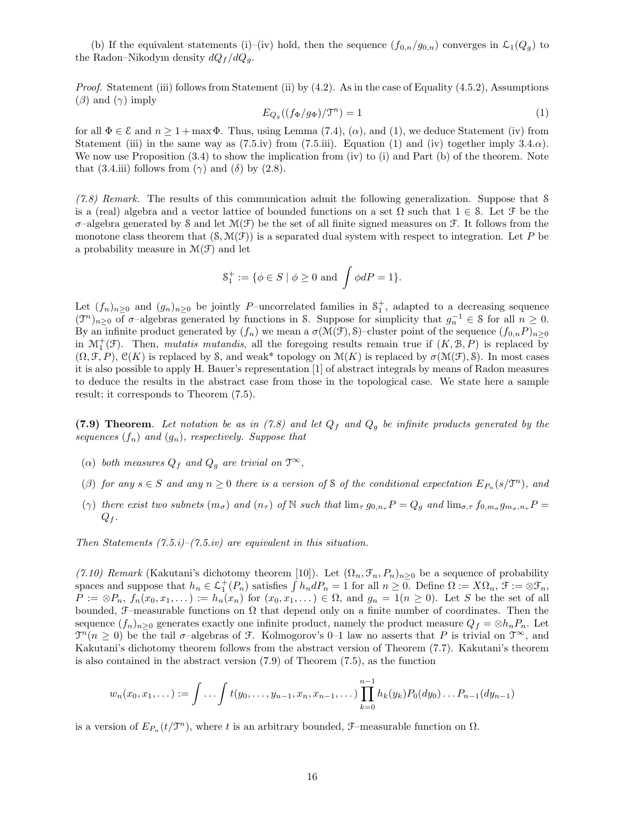(b) If the equivalent statements (i)–(iv) hold, then the sequence  $(f_{0,n}/g_{0,n})$  converges in  $\mathcal{L}_1(Q_q)$  to the Radon–Nikodym density  $dQ_f/dQ_q$ .

*Proof.* Statement (iii) follows from Statement (ii) by  $(4.2)$ . As in the case of Equality  $(4.5.2)$ , Assumptions  $(\beta)$  and  $(\gamma)$  imply

$$
E_{Q_g}((f_{\Phi}/g_{\Phi})/\mathfrak{T}^n) = 1\tag{1}
$$

for all  $\Phi \in \mathcal{E}$  and  $n \geq 1 + \max \Phi$ . Thus, using Lemma (7.4), ( $\alpha$ ), and (1), we deduce Statement (iv) from Statement (iii) in the same way as  $(7.5.iv)$  from  $(7.5.iii)$ . Equation (1) and (iv) together imply 3.4. $\alpha$ ). We now use Proposition  $(3.4)$  to show the implication from (iv) to (i) and Part (b) of the theorem. Note that (3.4.iii) follows from ( $\gamma$ ) and ( $\delta$ ) by (2.8).

 $(7.8)$  Remark. The results of this communication admit the following generalization. Suppose that S is a (real) algebra and a vector lattice of bounded functions on a set  $\Omega$  such that  $1 \in \mathcal{S}$ . Let  $\mathcal{F}$  be the  $\sigma$ –algebra generated by S and let  $\mathcal{M}(\mathcal{F})$  be the set of all finite signed measures on  $\mathcal{F}$ . It follows from the monotone class theorem that  $(S, \mathcal{M}(\mathcal{F}))$  is a separated dual system with respect to integration. Let P be a probability measure in  $\mathcal{M}(\mathcal{F})$  and let

$$
\mathcal{S}_1^+ := \{ \phi \in S \mid \phi \ge 0 \text{ and } \int \phi dP = 1 \}.
$$

Let  $(f_n)_{n\geq 0}$  and  $(g_n)_{n\geq 0}$  be jointly P–uncorrelated families in  $S_1^+$ , adapted to a decreasing sequence  $(\mathfrak{I}^n)_{n\geq 0}$  of  $\sigma$ -algebras generated by functions in S. Suppose for simplicity that  $g_n^{-1} \in \mathcal{S}$  for all  $n \geq 0$ . By an infinite product generated by  $(f_n)$  we mean a  $\sigma(\mathcal{M}(\mathcal{F}), \mathcal{S})$ –cluster point of the sequence  $(f_{0,n}P)_{n\geq 0}$ in  $\mathcal{M}_1^+(\mathcal{F})$ . Then, *mutatis mutandis*, all the foregoing results remain true if  $(K, \mathcal{B}, P)$  is replaced by  $(\Omega, \mathcal{F}, P)$ ,  $\mathcal{C}(K)$  is replaced by S, and weak\* topology on  $\mathcal{M}(K)$  is replaced by  $\sigma(\mathcal{M}(\mathcal{F}), S)$ . In most cases it is also possible to apply H. Bauer's representation [1] of abstract integrals by means of Radon measures to deduce the results in the abstract case from those in the topological case. We state here a sample result; it corresponds to Theorem (7.5).

(7.9) Theorem. Let notation be as in (7.8) and let  $Q_f$  and  $Q_g$  be infinite products generated by the sequences  $(f_n)$  and  $(g_n)$ , respectively. Suppose that

- ( $\alpha$ ) both measures  $Q_f$  and  $Q_g$  are trivial on  $\mathfrak{T}^{\infty}$ ,
- ( $\beta$ ) for any  $s \in S$  and any  $n \geq 0$  there is a version of S of the conditional expectation  $E_{P_n}(s/\mathfrak{T}^n)$ , and
- ( $\gamma$ ) there exist two subnets  $(m_{\sigma})$  and  $(n_{\tau})$  of N such that  $\lim_{\tau} g_{0,n_{\tau}} P = Q_g$  and  $\lim_{\sigma,\tau} f_{0,m_{\sigma}} g_{m_{\sigma},n_{\tau}} P = Q_g$  $Q_f$ .

Then Statements  $(7.5.i)$ – $(7.5.i)$  are equivalent in this situation.

(7.10) Remark (Kakutani's dichotomy theorem [10]). Let  $(\Omega_n, \mathcal{F}_n, P_n)_{n>0}$  be a sequence of probability spaces and suppose that  $h_n \in \mathcal{L}_1^+(P_n)$  satisfies  $\int h_n dP_n = 1$  for all  $n \geq 0$ . Define  $\Omega := X\Omega_n$ ,  $\mathcal{F} := \otimes \mathcal{F}_n$ ,  $P := \otimes P_n$ ,  $f_n(x_0, x_1, \dots) := h_n(x_n)$  for  $(x_0, x_1, \dots) \in \Omega$ , and  $g_n = 1(n \geq 0)$ . Let S be the set of all bounded,  $\mathcal{F}-$ measurable functions on  $\Omega$  that depend only on a finite number of coordinates. Then the sequence  $(f_n)_{n>0}$  generates exactly one infinite product, namely the product measure  $Q_f = \otimes h_n P_n$ . Let  $\mathcal{T}^n(n \geq 0)$  be the tail  $\sigma$ -algebras of F. Kolmogorov's 0–1 law no asserts that P is trivial on  $\mathcal{T}^{\infty}$ , and Kakutani's dichotomy theorem follows from the abstract version of Theorem (7.7). Kakutani's theorem is also contained in the abstract version (7.9) of Theorem (7.5), as the function

$$
w_n(x_0, x_1, \dots) := \int \dots \int t(y_0, \dots, y_{n-1}, x_n, x_{n-1}, \dots) \prod_{k=0}^{n-1} h_k(y_k) P_0(dy_0) \dots P_{n-1}(dy_{n-1})
$$

is a version of  $E_{P_n}(t/\mathcal{T}^n)$ , where t is an arbitrary bounded,  $\mathcal{F}-$ measurable function on  $\Omega$ .